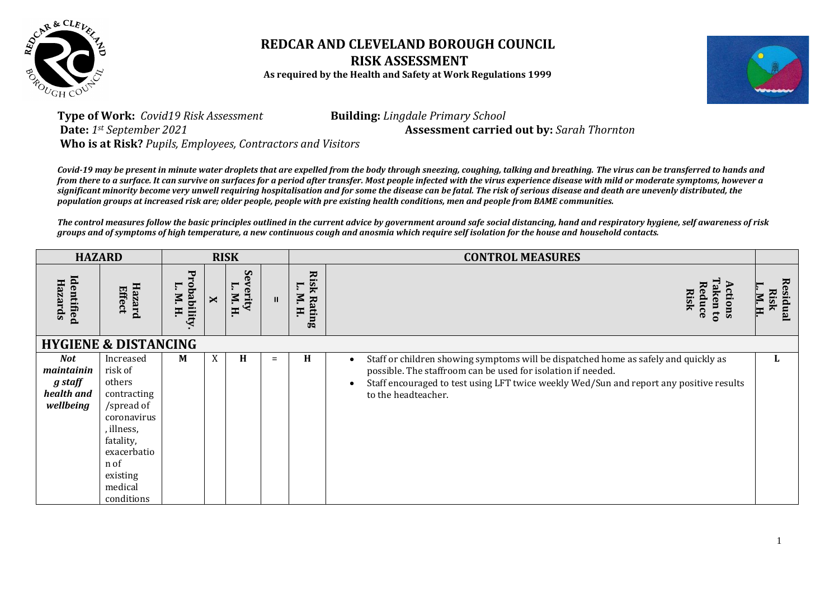

## **REDCAR AND CLEVELAND BOROUGH COUNCIL RISK ASSESSMENT As required by the Health and Safety at Work Regulations 1999**



**Type of Work:** *Covid19 Risk Assessment* **Building:** *Lingdale Primary School* **Date:** *1st September 2021* **Assessment carried out by:** *Sarah Thornton* **Who is at Risk?** *Pupils, Employees, Contractors and Visitors*

*Covid-19 may be present in minute water droplets that are expelled from the body through sneezing, coughing, talking and breathing. The virus can be transferred to hands and from there to a surface. It can survive on surfaces for a period after transfer. Most people infected with the virus experience disease with mild or moderate symptoms, however a significant minority become very unwell requiring hospitalisation and for some the disease can be fatal. The risk of serious disease and death are unevenly distributed, the population groups at increased risk are; older people, people with pre existing health conditions, men and people from BAME communities.*

*The control measures follow the basic principles outlined in the current advice by government around safe social distancing, hand and respiratory hygiene, self awareness of risk groups and of symptoms of high temperature, a new continuous cough and anosmia which require self isolation for the house and household contacts.*

|                                                         | <b>HAZARD</b>                                                                                                                                                   |                                 |   | <b>RISK</b>                   |              |                                         | <b>CONTROL MEASURES</b>                                                                                                                                                                                                                                               |   |
|---------------------------------------------------------|-----------------------------------------------------------------------------------------------------------------------------------------------------------------|---------------------------------|---|-------------------------------|--------------|-----------------------------------------|-----------------------------------------------------------------------------------------------------------------------------------------------------------------------------------------------------------------------------------------------------------------------|---|
| ldentified<br>Hazards                                   | Hazard<br>Effect                                                                                                                                                | ヮ<br>obability<br>Ξ<br>N.<br>Ħ. | × | S<br><i>e</i> rity<br>N.<br>H | $\mathbf{H}$ | <b>Risk</b><br>г.<br>N.<br>Rating<br>H. | aken to<br>Reduce<br><b>Risk</b><br>ctions<br>N.<br>E                                                                                                                                                                                                                 |   |
|                                                         | <b>HYGIENE &amp; DISTANCING</b>                                                                                                                                 |                                 |   |                               |              |                                         |                                                                                                                                                                                                                                                                       |   |
| Not<br>maintainin<br>g staff<br>health and<br>wellbeing | Increased<br>risk of<br>others<br>contracting<br>/spread of<br>coronavirus<br>illness,<br>fatality,<br>exacerbatio<br>n of<br>existing<br>medical<br>conditions | M                               | X | H                             | $=$          | H                                       | Staff or children showing symptoms will be dispatched home as safely and quickly as<br>possible. The staffroom can be used for isolation if needed.<br>Staff encouraged to test using LFT twice weekly Wed/Sun and report any positive results<br>to the headteacher. | L |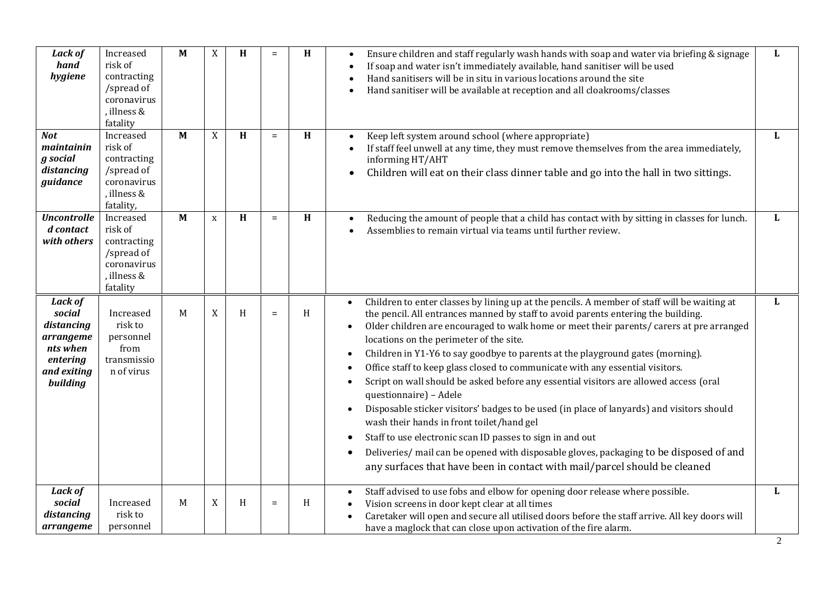| <b>Lack of</b><br>hand<br>hygiene                                                                      | Increased<br>risk of<br>contracting<br>/spread of<br>coronavirus<br>, illness &<br>fatality  | M           | X           | H | $\equiv$ | H | Ensure children and staff regularly wash hands with soap and water via briefing & signage<br>If soap and water isn't immediately available, hand sanitiser will be used<br>Hand sanitisers will be in situ in various locations around the site<br>Hand sanitiser will be available at reception and all cloakrooms/classes                                                                                                                                                                                                                                                                                                                                                                                                                                                                                                                                                                                                                                                                                                             | L |
|--------------------------------------------------------------------------------------------------------|----------------------------------------------------------------------------------------------|-------------|-------------|---|----------|---|-----------------------------------------------------------------------------------------------------------------------------------------------------------------------------------------------------------------------------------------------------------------------------------------------------------------------------------------------------------------------------------------------------------------------------------------------------------------------------------------------------------------------------------------------------------------------------------------------------------------------------------------------------------------------------------------------------------------------------------------------------------------------------------------------------------------------------------------------------------------------------------------------------------------------------------------------------------------------------------------------------------------------------------------|---|
| <b>Not</b><br>maintainin<br>g social<br>distancing<br>guidance                                         | Increased<br>risk of<br>contracting<br>/spread of<br>coronavirus<br>, illness &<br>fatality, | $M$         | X           | H | $=$      | H | Keep left system around school (where appropriate)<br>If staff feel unwell at any time, they must remove themselves from the area immediately,<br>informing HT/AHT<br>Children will eat on their class dinner table and go into the hall in two sittings.<br>$\bullet$                                                                                                                                                                                                                                                                                                                                                                                                                                                                                                                                                                                                                                                                                                                                                                  | L |
| <b>Uncontrolle</b><br>d contact<br>with others                                                         | Increased<br>risk of<br>contracting<br>/spread of<br>coronavirus<br>, illness &<br>fatality  | M           | $\mathbf X$ | H | $=$      | H | Reducing the amount of people that a child has contact with by sitting in classes for lunch.<br>Assemblies to remain virtual via teams until further review.                                                                                                                                                                                                                                                                                                                                                                                                                                                                                                                                                                                                                                                                                                                                                                                                                                                                            | L |
| <b>Lack of</b><br>social<br>distancing<br>arrangeme<br>nts when<br>entering<br>and exiting<br>building | Increased<br>risk to<br>personnel<br>from<br>transmissio<br>n of virus                       | M           | X           | H | $\equiv$ | H | Children to enter classes by lining up at the pencils. A member of staff will be waiting at<br>the pencil. All entrances manned by staff to avoid parents entering the building.<br>Older children are encouraged to walk home or meet their parents/ carers at pre arranged<br>$\bullet$<br>locations on the perimeter of the site.<br>Children in Y1-Y6 to say goodbye to parents at the playground gates (morning).<br>$\bullet$<br>Office staff to keep glass closed to communicate with any essential visitors.<br>Script on wall should be asked before any essential visitors are allowed access (oral<br>questionnaire) - Adele<br>Disposable sticker visitors' badges to be used (in place of lanyards) and visitors should<br>$\bullet$<br>wash their hands in front toilet/hand gel<br>Staff to use electronic scan ID passes to sign in and out<br>Deliveries/ mail can be opened with disposable gloves, packaging to be disposed of and<br>٠<br>any surfaces that have been in contact with mail/parcel should be cleaned | L |
| <b>Lack of</b><br>social<br>distancing<br>arrangeme                                                    | Increased<br>risk to<br>personnel                                                            | $\mathbf M$ | X           | H | $\equiv$ | H | Staff advised to use fobs and elbow for opening door release where possible.<br>$\bullet$<br>Vision screens in door kept clear at all times<br>Caretaker will open and secure all utilised doors before the staff arrive. All key doors will<br>have a maglock that can close upon activation of the fire alarm.                                                                                                                                                                                                                                                                                                                                                                                                                                                                                                                                                                                                                                                                                                                        | L |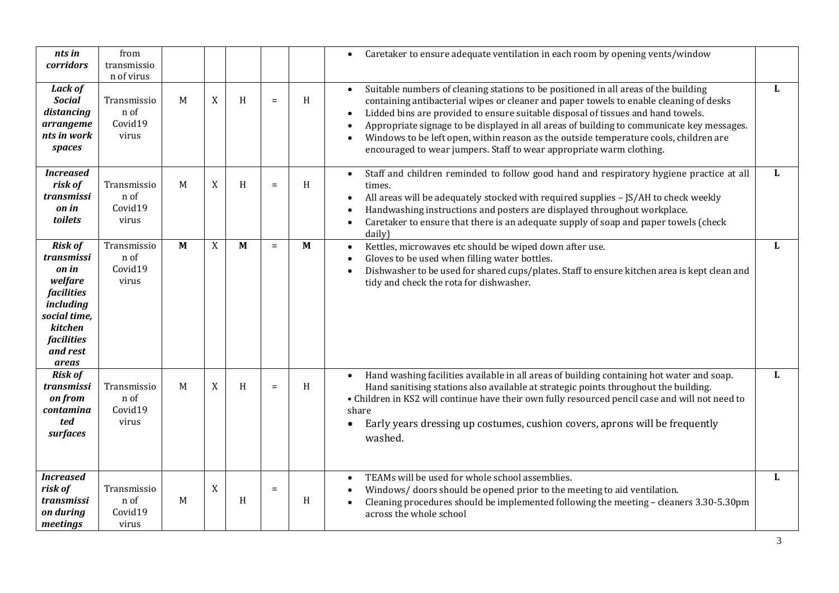| nts in<br>corridors                                                                                                                                     | from<br>transmissio<br>n of virus       |             |   |              |          |              | Caretaker to ensure adequate ventilation in each room by opening vents/window<br>$\bullet$                                                                                                                                                                                                                                                                                                                                                                                                                                                                |              |
|---------------------------------------------------------------------------------------------------------------------------------------------------------|-----------------------------------------|-------------|---|--------------|----------|--------------|-----------------------------------------------------------------------------------------------------------------------------------------------------------------------------------------------------------------------------------------------------------------------------------------------------------------------------------------------------------------------------------------------------------------------------------------------------------------------------------------------------------------------------------------------------------|--------------|
| <b>Lack of</b><br><b>Social</b><br>distancing<br>arrangeme<br>nts in work<br>spaces                                                                     | Transmissio<br>n of<br>Covid19<br>virus | $\mathbf M$ | X | H            | $\equiv$ | H            | Suitable numbers of cleaning stations to be positioned in all areas of the building<br>$\bullet$<br>containing antibacterial wipes or cleaner and paper towels to enable cleaning of desks<br>Lidded bins are provided to ensure suitable disposal of tissues and hand towels.<br>$\bullet$<br>Appropriate signage to be displayed in all areas of building to communicate key messages.<br>Windows to be left open, within reason as the outside temperature cools, children are<br>encouraged to wear jumpers. Staff to wear appropriate warm clothing. | L            |
| <b>Increased</b><br>risk of<br>transmissi<br>on in<br>toilets                                                                                           | Transmissio<br>n of<br>Covid19<br>virus | M           | X | H            | $\equiv$ | H            | Staff and children reminded to follow good hand and respiratory hygiene practice at all<br>$\bullet$<br>times.<br>All areas will be adequately stocked with required supplies - JS/AH to check weekly<br>$\bullet$<br>Handwashing instructions and posters are displayed throughout workplace.<br>Caretaker to ensure that there is an adequate supply of soap and paper towels (check<br>$\bullet$<br>daily)                                                                                                                                             | L            |
| <b>Risk of</b><br>transmissi<br>on in<br>welfare<br><i>facilities</i><br>including<br>social time,<br>kitchen<br><i>facilities</i><br>and rest<br>areas | Transmissio<br>n of<br>Covid19<br>virus | M           | X | $\mathbf{M}$ | $=$      | $\mathbf{M}$ | Kettles, microwaves etc should be wiped down after use.<br>$\bullet$<br>Gloves to be used when filling water bottles.<br>Dishwasher to be used for shared cups/plates. Staff to ensure kitchen area is kept clean and<br>$\bullet$<br>tidy and check the rota for dishwasher.                                                                                                                                                                                                                                                                             | L            |
| <b>Risk of</b><br>transmissi<br>on from<br>contamina<br>ted<br>surfaces                                                                                 | Transmissio<br>n of<br>Covid19<br>virus | M           | X | H            | $\equiv$ | H            | Hand washing facilities available in all areas of building containing hot water and soap.<br>Hand sanitising stations also available at strategic points throughout the building.<br>• Children in KS2 will continue have their own fully resourced pencil case and will not need to<br>share<br>Early years dressing up costumes, cushion covers, aprons will be frequently<br>washed.                                                                                                                                                                   | L            |
| <b>Increased</b><br>risk of<br>transmissi<br>on during<br>meetings                                                                                      | Transmissio<br>n of<br>Covid19<br>virus | M           | X | H            | $=$      | H            | TEAMs will be used for whole school assemblies.<br>Windows/doors should be opened prior to the meeting to aid ventilation.<br>Cleaning procedures should be implemented following the meeting - cleaners 3.30-5.30pm<br>across the whole school                                                                                                                                                                                                                                                                                                           | $\mathbf{I}$ |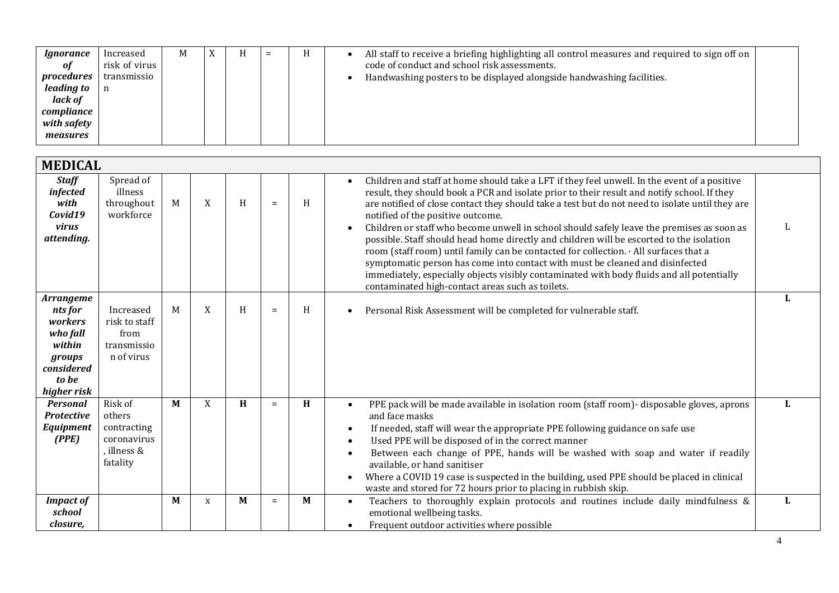| Ignorance   | Increased     | M |  | $\equiv$ | All staff to receive a briefing highlighting all control measures and required to sign off on |  |
|-------------|---------------|---|--|----------|-----------------------------------------------------------------------------------------------|--|
| of          | risk of virus |   |  |          | code of conduct and school risk assessments.                                                  |  |
| procedures  | transmissio   |   |  |          | Handwashing posters to be displayed alongside handwashing facilities.<br>٠                    |  |
| leading to  | n             |   |  |          |                                                                                               |  |
| lack of     |               |   |  |          |                                                                                               |  |
| compliance  |               |   |  |          |                                                                                               |  |
| with safety |               |   |  |          |                                                                                               |  |
| measures    |               |   |  |          |                                                                                               |  |

| <b>MEDICAL</b>                                                                                               |                                                                            |   |   |   |     |   |                                                                                                                                                                                                                                                                                                                                                                                                                                                                                                                                                                                                                                                                                                                                                                                                                                                         |   |
|--------------------------------------------------------------------------------------------------------------|----------------------------------------------------------------------------|---|---|---|-----|---|---------------------------------------------------------------------------------------------------------------------------------------------------------------------------------------------------------------------------------------------------------------------------------------------------------------------------------------------------------------------------------------------------------------------------------------------------------------------------------------------------------------------------------------------------------------------------------------------------------------------------------------------------------------------------------------------------------------------------------------------------------------------------------------------------------------------------------------------------------|---|
| <b>Staff</b><br>infected<br>with<br>Covid19<br>virus<br>attending.                                           | Spread of<br>illness<br>throughout<br>workforce                            | M | X | H | $=$ | H | Children and staff at home should take a LFT if they feel unwell. In the event of a positive<br>result, they should book a PCR and isolate prior to their result and notify school. If they<br>are notified of close contact they should take a test but do not need to isolate until they are<br>notified of the positive outcome.<br>Children or staff who become unwell in school should safely leave the premises as soon as<br>possible. Staff should head home directly and children will be escorted to the isolation<br>room (staff room) until family can be contacted for collection. · All surfaces that a<br>symptomatic person has come into contact with must be cleaned and disinfected<br>immediately, especially objects visibly contaminated with body fluids and all potentially<br>contaminated high-contact areas such as toilets. |   |
| <b>Arrangeme</b><br>nts for<br>workers<br>who fall<br>within<br>groups<br>considered<br>to be<br>higher risk | Increased<br>risk to staff<br>from<br>transmissio<br>n of virus            | M | X | H | $=$ | H | Personal Risk Assessment will be completed for vulnerable staff.                                                                                                                                                                                                                                                                                                                                                                                                                                                                                                                                                                                                                                                                                                                                                                                        |   |
| <b>Personal</b><br><b>Protective</b><br>Equipment<br>(PPE)                                                   | Risk of<br>others<br>contracting<br>coronavirus<br>, illness &<br>fatality | M | X | H | $=$ | H | PPE pack will be made available in isolation room (staff room)- disposable gloves, aprons<br>$\bullet$<br>and face masks<br>If needed, staff will wear the appropriate PPE following guidance on safe use<br>Used PPE will be disposed of in the correct manner<br>Between each change of PPE, hands will be washed with soap and water if readily<br>available, or hand sanitiser<br>Where a COVID 19 case is suspected in the building, used PPE should be placed in clinical<br>$\bullet$<br>waste and stored for 72 hours prior to placing in rubbish skip.                                                                                                                                                                                                                                                                                         | L |
| <b>Impact of</b><br>school<br>closure,                                                                       |                                                                            | M | X | M | $=$ | M | Teachers to thoroughly explain protocols and routines include daily mindfulness &<br>$\bullet$<br>emotional wellbeing tasks.<br>Frequent outdoor activities where possible                                                                                                                                                                                                                                                                                                                                                                                                                                                                                                                                                                                                                                                                              | L |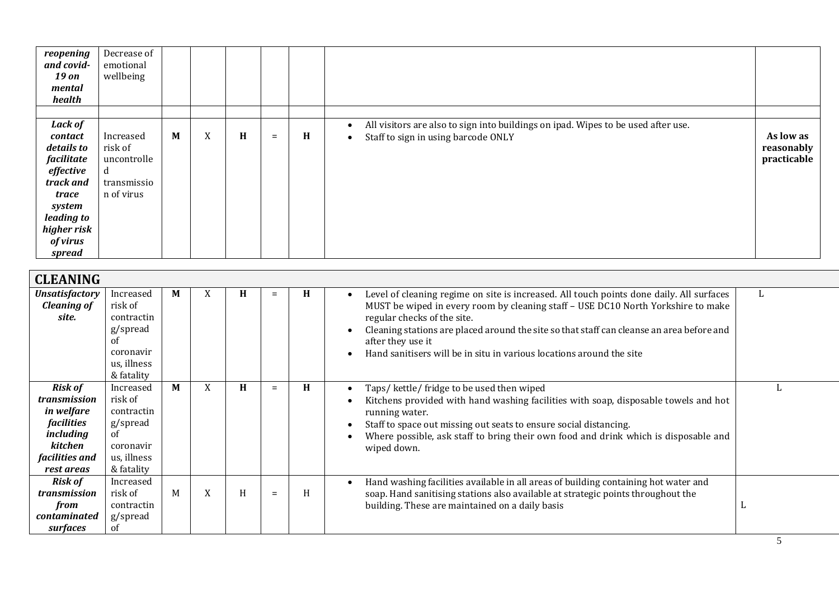| reopening<br>and covid-<br><b>19 on</b><br>mental<br>health                                                                                           | Decrease of<br>emotional<br>wellbeing                                 |              |   |   |     |   |                                                                                                                                       |                                        |
|-------------------------------------------------------------------------------------------------------------------------------------------------------|-----------------------------------------------------------------------|--------------|---|---|-----|---|---------------------------------------------------------------------------------------------------------------------------------------|----------------------------------------|
| Lack of<br>contact<br>details to<br>facilitate<br>effective<br>track and<br>trace<br>system<br>leading to<br>higher risk<br><i>of virus</i><br>spread | Increased<br>risk of<br>uncontrolle<br>d<br>transmissio<br>n of virus | $\mathbf{M}$ | X | H | $=$ | H | All visitors are also to sign into buildings on ipad. Wipes to be used after use.<br>Staff to sign in using barcode ONLY<br>$\bullet$ | As low as<br>reasonably<br>practicable |

| <b>CLEANING</b>                                                                                                                  |                                                                                                |   |   |   |          |   |                                                                                                                                                                                                                                                                                                                                                                                                       |  |  |  |
|----------------------------------------------------------------------------------------------------------------------------------|------------------------------------------------------------------------------------------------|---|---|---|----------|---|-------------------------------------------------------------------------------------------------------------------------------------------------------------------------------------------------------------------------------------------------------------------------------------------------------------------------------------------------------------------------------------------------------|--|--|--|
| <b>Unsatisfactory</b><br><b>Cleaning of</b><br>site.                                                                             | Increased<br>risk of<br>contractin<br>g/spread<br>0f<br>coronavir<br>us, illness<br>& fatality | M |   | Н | $\equiv$ | Н | Level of cleaning regime on site is increased. All touch points done daily. All surfaces<br>MUST be wiped in every room by cleaning staff - USE DC10 North Yorkshire to make<br>regular checks of the site.<br>Cleaning stations are placed around the site so that staff can cleanse an area before and<br>after they use it<br>Hand sanitisers will be in situ in various locations around the site |  |  |  |
| <b>Risk of</b><br>transmission<br>in welfare<br><i>facilities</i><br>including<br>kitchen<br><i>facilities and</i><br>rest areas | Increased<br>risk of<br>contractin<br>g/spread<br>of<br>coronavir<br>us, illness<br>& fatality | M | X | H | $\equiv$ | H | Taps/kettle/fridge to be used then wiped<br>Kitchens provided with hand washing facilities with soap, disposable towels and hot<br>running water.<br>Staff to space out missing out seats to ensure social distancing.<br>Where possible, ask staff to bring their own food and drink which is disposable and<br>wiped down.                                                                          |  |  |  |
| <b>Risk of</b><br>transmission<br>from<br>contaminated<br>surfaces                                                               | Increased<br>risk of<br>contractin<br>g/spread<br><sub>of</sub>                                | M | X | H | $=$      | H | Hand washing facilities available in all areas of building containing hot water and<br>soap. Hand sanitising stations also available at strategic points throughout the<br>building. These are maintained on a daily basis                                                                                                                                                                            |  |  |  |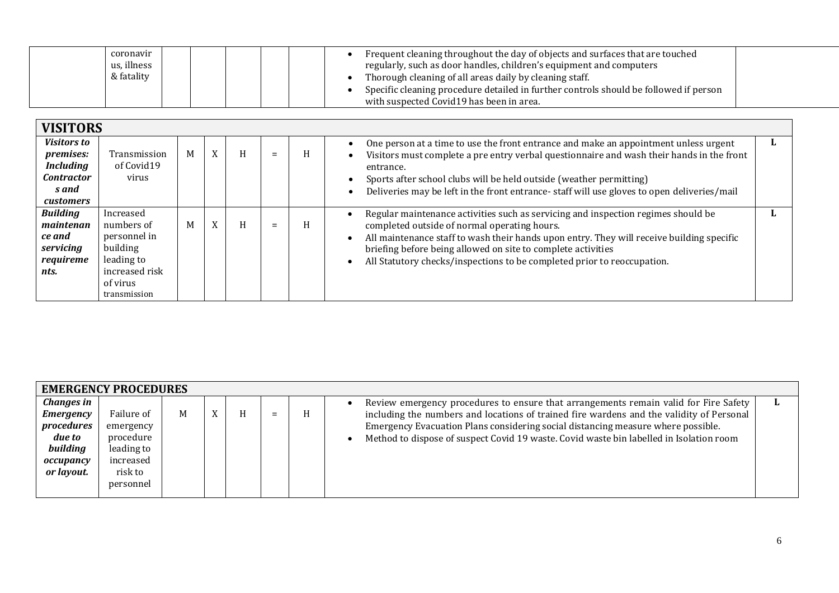| & fatality<br>Thorough cleaning of all areas daily by cleaning staff.<br>Specific cleaning procedure detailed in further controls should be followed if person<br>with suspected Covid19 has been in area. |  | coronavir<br>us, illness |  |  |  |  | Frequent cleaning throughout the day of objects and surfaces that are touched<br>regularly, such as door handles, children's equipment and computers |  |
|------------------------------------------------------------------------------------------------------------------------------------------------------------------------------------------------------------|--|--------------------------|--|--|--|--|------------------------------------------------------------------------------------------------------------------------------------------------------|--|
|------------------------------------------------------------------------------------------------------------------------------------------------------------------------------------------------------------|--|--------------------------|--|--|--|--|------------------------------------------------------------------------------------------------------------------------------------------------------|--|

| <b>VISITORS</b>                                                                                       |                                                                                                                 |   |   |   |          |   |                                                                                                                                                                                                                                                                                                                                                                           |
|-------------------------------------------------------------------------------------------------------|-----------------------------------------------------------------------------------------------------------------|---|---|---|----------|---|---------------------------------------------------------------------------------------------------------------------------------------------------------------------------------------------------------------------------------------------------------------------------------------------------------------------------------------------------------------------------|
| <b>Visitors to</b><br>premises:<br><b>Including</b><br><b>Contractor</b><br>s and<br><i>customers</i> | Transmission<br>of Covid19<br>virus                                                                             | M | X | H | $\equiv$ | H | One person at a time to use the front entrance and make an appointment unless urgent<br>Visitors must complete a pre entry verbal questionnaire and wash their hands in the front<br>entrance.<br>Sports after school clubs will be held outside (weather permitting)<br>Deliveries may be left in the front entrance-staff will use gloves to open deliveries/mail       |
| <b>Building</b><br>maintenan<br>ce and<br>servicing<br>requireme<br>nts.                              | Increased<br>numbers of<br>personnel in<br>building<br>leading to<br>increased risk<br>of virus<br>transmission | M | Λ | H | $\equiv$ | H | Regular maintenance activities such as servicing and inspection regimes should be<br>completed outside of normal operating hours.<br>All maintenance staff to wash their hands upon entry. They will receive building specific<br>briefing before being allowed on site to complete activities<br>All Statutory checks/inspections to be completed prior to reoccupation. |

| <b>EMERGENCY PROCEDURES</b>                                                                          |                                                                                         |   |  |  |  |   |                                                                                                                                                                                                                                                                                                                                                                 |  |  |  |  |
|------------------------------------------------------------------------------------------------------|-----------------------------------------------------------------------------------------|---|--|--|--|---|-----------------------------------------------------------------------------------------------------------------------------------------------------------------------------------------------------------------------------------------------------------------------------------------------------------------------------------------------------------------|--|--|--|--|
| <b>Changes in</b><br><b>Emergency</b><br>procedures<br>due to<br>building<br>occupancy<br>or lavout. | Failure of<br>emergency<br>procedure<br>leading to<br>increased<br>risk to<br>personnel | M |  |  |  | п | Review emergency procedures to ensure that arrangements remain valid for Fire Safety<br>including the numbers and locations of trained fire wardens and the validity of Personal<br>Emergency Evacuation Plans considering social distancing measure where possible.<br>Method to dispose of suspect Covid 19 waste. Covid waste bin labelled in Isolation room |  |  |  |  |